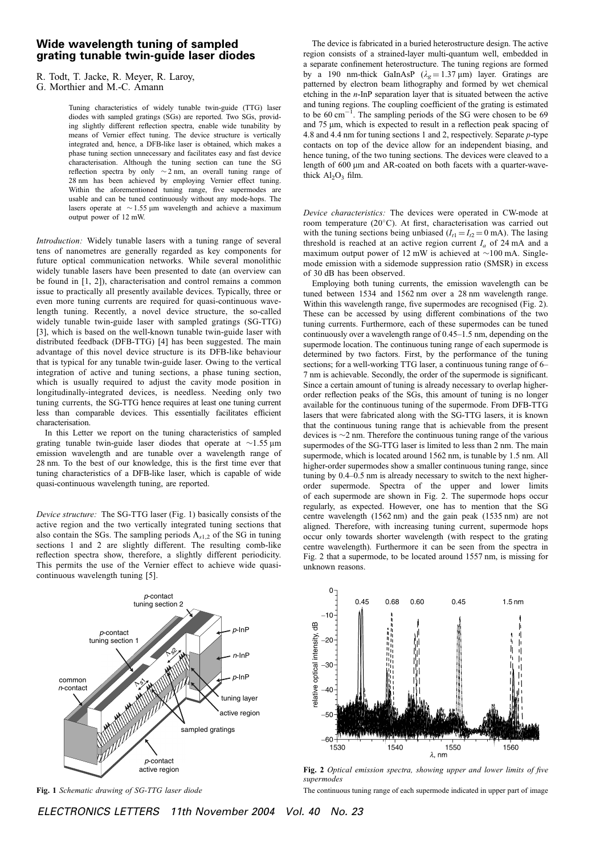## Wide wavelength tuning of sampled grating tunable twin-guide laser diodes

R. Todt, T. Jacke, R. Meyer, R. Laroy,

Tuning characteristics of widely tunable twin-guide (TTG) laser diodes with sampled gratings (SGs) are reported. Two SGs, providing slightly different reflection spectra, enable wide tunability by means of Vernier effect tuning. The device structure is vertically integrated and, hence, a DFB-like laser is obtained, which makes a phase tuning section unnecessary and facilitates easy and fast device characterisation. Although the tuning section can tune the SG reflection spectra by only  $\sim$  2 nm, an overall tuning range of 28 nm has been achieved by employing Vernier effect tuning. Within the aforementioned tuning range, five supermodes are usable and can be tuned continuously without any mode-hops. The lasers operate at  $\sim$  1.55 µm wavelength and achieve a maximum output power of 12 mW.

Introduction: Widely tunable lasers with a tuning range of several tens of nanometres are generally regarded as key components for future optical communication networks. While several monolithic widely tunable lasers have been presented to date (an overview can be found in [1, 2]), characterisation and control remains a common issue to practically all presently available devices. Typically, three or even more tuning currents are required for quasi-continuous wavelength tuning. Recently, a novel device structure, the so-called widely tunable twin-guide laser with sampled gratings (SG-TTG) [3], which is based on the well-known tunable twin-guide laser with distributed feedback (DFB-TTG) [4] has been suggested. The main advantage of this novel device structure is its DFB-like behaviour that is typical for any tunable twin-guide laser. Owing to the vertical integration of active and tuning sections, a phase tuning section, which is usually required to adjust the cavity mode position in longitudinally-integrated devices, is needless. Needing only two tuning currents, the SG-TTG hence requires at least one tuning current less than comparable devices. This essentially facilitates efficient characterisation.

In this Letter we report on the tuning characteristics of sampled grating tunable twin-guide laser diodes that operate at  $\sim$ 1.55 µm emission wavelength and are tunable over a wavelength range of 28 nm. To the best of our knowledge, this is the first time ever that tuning characteristics of a DFB-like laser, which is capable of wide quasi-continuous wavelength tuning, are reported.

Device structure: The SG-TTG laser (Fig. 1) basically consists of the active region and the two vertically integrated tuning sections that also contain the SGs. The sampling periods  $\Lambda_{s1,2}$  of the SG in tuning sections 1 and 2 are slightly different. The resulting comb-like reflection spectra show, therefore, a slightly different periodicity. This permits the use of the Vernier effect to achieve wide quasicontinuous wavelength tuning [5].



Fig. 1 Schematic drawing of SG-TTG laser diode

The device is fabricated in a buried heterostructure design. The active region consists of a strained-layer multi-quantum well, embedded in a separate confinement heterostructure. The tuning regions are formed by a 190 nm-thick GaInAsP ( $\lambda_g = 1.37 \,\mu$ m) layer. Gratings are patterned by electron beam lithography and formed by wet chemical etching in the n-InP separation layer that is situated between the active and tuning regions. The coupling coefficient of the grating is estimated to be  $60 \text{ cm}^{-1}$ . The sampling periods of the SG were chosen to be 69 and 75 µm, which is expected to result in a reflection peak spacing of 4.8 and 4.4 nm for tuning sections 1 and 2, respectively. Separate p-type contacts on top of the device allow for an independent biasing, and hence tuning, of the two tuning sections. The devices were cleaved to a length of 600 µm and AR-coated on both facets with a quarter-wavethick  $Al_2O_3$  film.

Device characteristics: The devices were operated in CW-mode at room temperature (20°C). At first, characterisation was carried out with the tuning sections being unbiased  $(I_{t1} = I_{t2} = 0 \text{ mA})$ . The lasing threshold is reached at an active region current  $I_a$  of 24 mA and a maximum output power of 12 mW is achieved at  $\sim$ 100 mA. Singlemode emission with a sidemode suppression ratio (SMSR) in excess of 30 dB has been observed.

Employing both tuning currents, the emission wavelength can be tuned between 1534 and 1562 nm over a 28 nm wavelength range. Within this wavelength range, five supermodes are recognised (Fig. 2). These can be accessed by using different combinations of the two tuning currents. Furthermore, each of these supermodes can be tuned continuously over a wavelength range of 0.45–1.5 nm, depending on the supermode location. The continuous tuning range of each supermode is determined by two factors. First, by the performance of the tuning sections; for a well-working TTG laser, a continuous tuning range of 6– 7 nm is achievable. Secondly, the order of the supermode is significant. Since a certain amount of tuning is already necessary to overlap higherorder reflection peaks of the SGs, this amount of tuning is no longer available for the continuous tuning of the supermode. From DFB-TTG lasers that were fabricated along with the SG-TTG lasers, it is known that the continuous tuning range that is achievable from the present devices is  $\sim$ 2 nm. Therefore the continuous tuning range of the various supermodes of the SG-TTG laser is limited to less than 2 nm. The main supermode, which is located around 1562 nm, is tunable by 1.5 nm. All higher-order supermodes show a smaller continuous tuning range, since tuning by 0.4–0.5 nm is already necessary to switch to the next higherorder supermode. Spectra of the upper and lower limits of each supermode are shown in Fig. 2. The supermode hops occur regularly, as expected. However, one has to mention that the SG centre wavelength (1562 nm) and the gain peak (1535 nm) are not aligned. Therefore, with increasing tuning current, supermode hops occur only towards shorter wavelength (with respect to the grating centre wavelength). Furthermore it can be seen from the spectra in Fig. 2 that a supermode, to be located around 1557 nm, is missing for unknown reasons.



Fig. 2 Optical emission spectra, showing upper and lower limits of five supermodes

The continuous tuning range of each supermode indicated in upper part of image

G. Morthier and M.-C. Amann